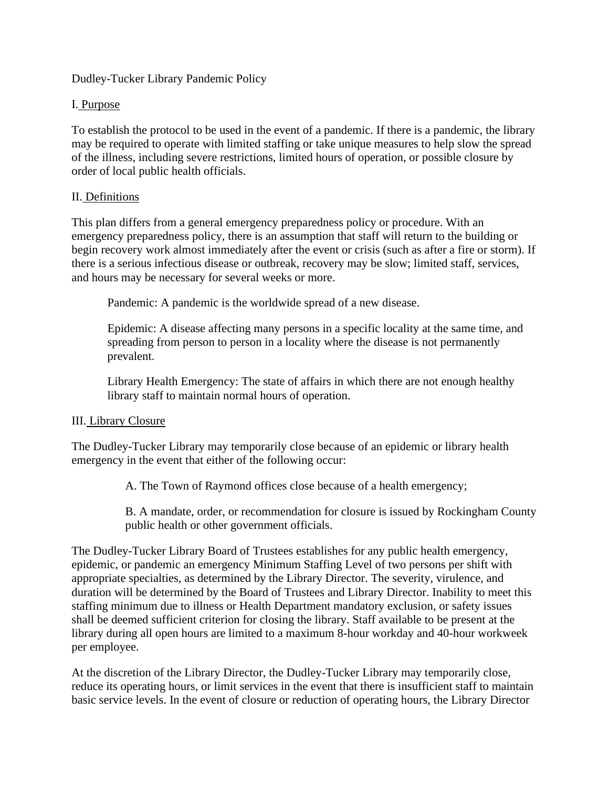Dudley-Tucker Library Pandemic Policy

### I. Purpose

To establish the protocol to be used in the event of a pandemic. If there is a pandemic, the library may be required to operate with limited staffing or take unique measures to help slow the spread of the illness, including severe restrictions, limited hours of operation, or possible closure by order of local public health officials.

#### II. Definitions

This plan differs from a general emergency preparedness policy or procedure. With an emergency preparedness policy, there is an assumption that staff will return to the building or begin recovery work almost immediately after the event or crisis (such as after a fire or storm). If there is a serious infectious disease or outbreak, recovery may be slow; limited staff, services, and hours may be necessary for several weeks or more.

Pandemic: A pandemic is the worldwide spread of a new disease.

Epidemic: A disease affecting many persons in a specific locality at the same time, and spreading from person to person in a locality where the disease is not permanently prevalent.

Library Health Emergency: The state of affairs in which there are not enough healthy library staff to maintain normal hours of operation.

## III. Library Closure

The Dudley-Tucker Library may temporarily close because of an epidemic or library health emergency in the event that either of the following occur:

A. The Town of Raymond offices close because of a health emergency;

B. A mandate, order, or recommendation for closure is issued by Rockingham County public health or other government officials.

The Dudley-Tucker Library Board of Trustees establishes for any public health emergency, epidemic, or pandemic an emergency Minimum Staffing Level of two persons per shift with appropriate specialties, as determined by the Library Director. The severity, virulence, and duration will be determined by the Board of Trustees and Library Director. Inability to meet this staffing minimum due to illness or Health Department mandatory exclusion, or safety issues shall be deemed sufficient criterion for closing the library. Staff available to be present at the library during all open hours are limited to a maximum 8-hour workday and 40-hour workweek per employee.

At the discretion of the Library Director, the Dudley-Tucker Library may temporarily close, reduce its operating hours, or limit services in the event that there is insufficient staff to maintain basic service levels. In the event of closure or reduction of operating hours, the Library Director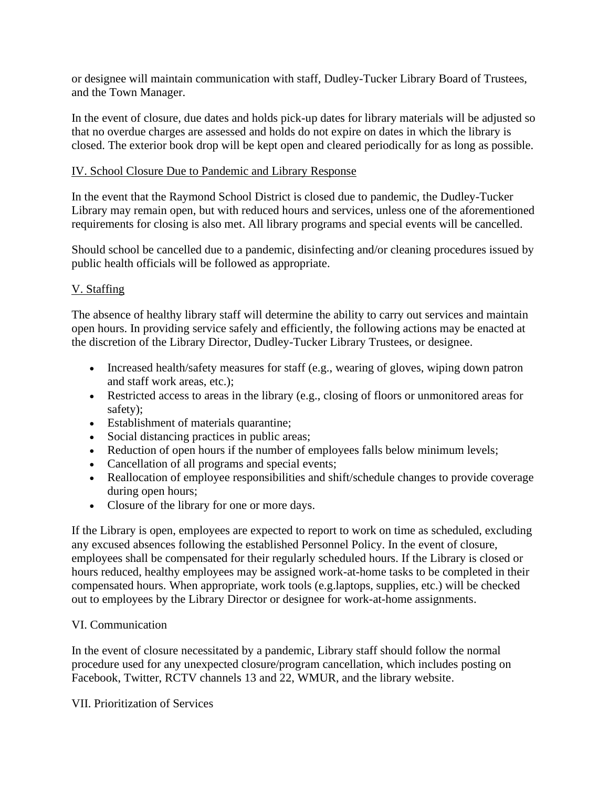or designee will maintain communication with staff, Dudley-Tucker Library Board of Trustees, and the Town Manager.

In the event of closure, due dates and holds pick-up dates for library materials will be adjusted so that no overdue charges are assessed and holds do not expire on dates in which the library is closed. The exterior book drop will be kept open and cleared periodically for as long as possible.

#### IV. School Closure Due to Pandemic and Library Response

In the event that the Raymond School District is closed due to pandemic, the Dudley-Tucker Library may remain open, but with reduced hours and services, unless one of the aforementioned requirements for closing is also met. All library programs and special events will be cancelled.

Should school be cancelled due to a pandemic, disinfecting and/or cleaning procedures issued by public health officials will be followed as appropriate.

# V. Staffing

The absence of healthy library staff will determine the ability to carry out services and maintain open hours. In providing service safely and efficiently, the following actions may be enacted at the discretion of the Library Director, Dudley-Tucker Library Trustees, or designee.

- Increased health/safety measures for staff (e.g., wearing of gloves, wiping down patron and staff work areas, etc.);
- Restricted access to areas in the library (e.g., closing of floors or unmonitored areas for safety);
- Establishment of materials quarantine;
- Social distancing practices in public areas;
- Reduction of open hours if the number of employees falls below minimum levels;
- Cancellation of all programs and special events;
- Reallocation of employee responsibilities and shift/schedule changes to provide coverage during open hours;
- Closure of the library for one or more days.

If the Library is open, employees are expected to report to work on time as scheduled, excluding any excused absences following the established Personnel Policy. In the event of closure, employees shall be compensated for their regularly scheduled hours. If the Library is closed or hours reduced, healthy employees may be assigned work-at-home tasks to be completed in their compensated hours. When appropriate, work tools (e.g.laptops, supplies, etc.) will be checked out to employees by the Library Director or designee for work-at-home assignments.

## VI. Communication

In the event of closure necessitated by a pandemic, Library staff should follow the normal procedure used for any unexpected closure/program cancellation, which includes posting on Facebook, Twitter, RCTV channels 13 and 22, WMUR, and the library website.

VII. Prioritization of Services